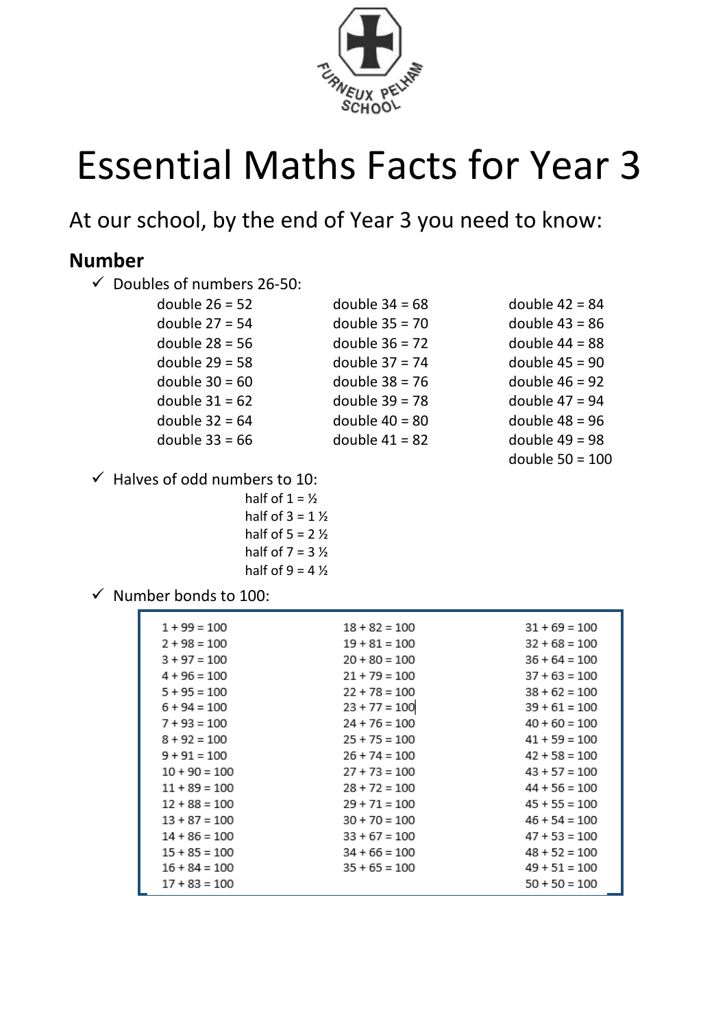

# Essential Maths Facts for Year 3

At our school, by the end of Year 3 you need to know:

## **Number**

| $\checkmark$ | Doubles of numbers 26-50: |                  |                   |
|--------------|---------------------------|------------------|-------------------|
|              | double $26 = 52$          | double $34 = 68$ | double $42 = 84$  |
|              | double $27 = 54$          | double $35 = 70$ | double $43 = 86$  |
|              | double $28 = 56$          | double $36 = 72$ | double $44 = 88$  |
|              | double $29 = 58$          | double $37 = 74$ | double $45 = 90$  |
|              | double $30 = 60$          | double $38 = 76$ | double $46 = 92$  |
|              | double $31 = 62$          | double $39 = 78$ | double $47 = 94$  |
|              | double $32 = 64$          | double $40 = 80$ | double $48 = 96$  |
|              | double $33 = 66$          | double $41 = 82$ | double $49 = 98$  |
|              |                           |                  | double $50 = 100$ |

 $\checkmark$  Halves of odd numbers to 10:

half of  $1 = \frac{1}{2}$ half of  $3 = 1\frac{1}{2}$ half of  $5 = 2\frac{1}{2}$ half of  $7 = 3\frac{1}{2}$ half of  $9 = 4\frac{1}{2}$ 

 $\checkmark$  Number bonds to 100:

| $1 + 99 = 100$  | $18 + 82 = 100$ | $31 + 69 = 100$ |
|-----------------|-----------------|-----------------|
| $2 + 98 = 100$  | $19 + 81 = 100$ | $32 + 68 = 100$ |
| $3 + 97 = 100$  | $20 + 80 = 100$ | $36 + 64 = 100$ |
| $4 + 96 = 100$  | $21 + 79 = 100$ | $37 + 63 = 100$ |
| $5 + 95 = 100$  | $22 + 78 = 100$ | $38 + 62 = 100$ |
| $6 + 94 = 100$  | $23 + 77 = 100$ | $39 + 61 = 100$ |
| $7 + 93 = 100$  | $24 + 76 = 100$ | $40 + 60 = 100$ |
| $8 + 92 = 100$  | $25 + 75 = 100$ | $41 + 59 = 100$ |
| $9 + 91 = 100$  | $26 + 74 = 100$ | $42 + 58 = 100$ |
| $10 + 90 = 100$ | $27 + 73 = 100$ | $43 + 57 = 100$ |
| $11 + 89 = 100$ | $28 + 72 = 100$ | $44 + 56 = 100$ |
| $12 + 88 = 100$ | $29 + 71 = 100$ | $45 + 55 = 100$ |
| $13 + 87 = 100$ | $30 + 70 = 100$ | $46 + 54 = 100$ |
| $14 + 86 = 100$ | $33 + 67 = 100$ | $47 + 53 = 100$ |
| $15 + 85 = 100$ | $34 + 66 = 100$ | $48 + 52 = 100$ |
| $16 + 84 = 100$ | $35 + 65 = 100$ | $49 + 51 = 100$ |
| $17 + 83 = 100$ |                 | $50 + 50 = 100$ |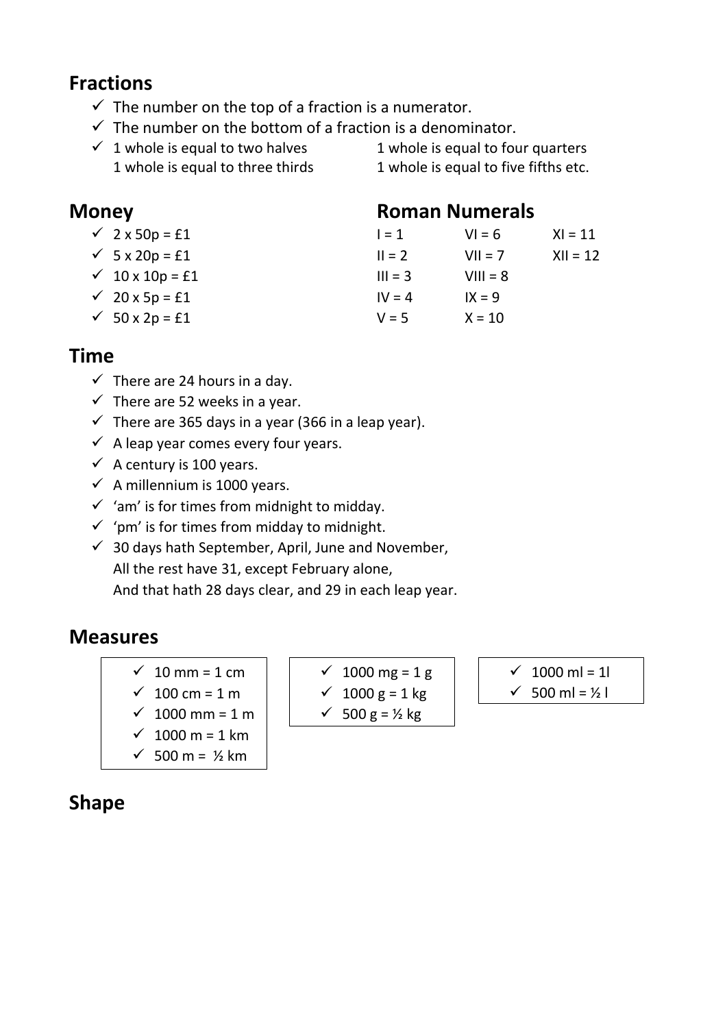# **Fractions**

- $\checkmark$  The number on the top of a fraction is a numerator.
- $\checkmark$  The number on the bottom of a fraction is a denominator.
- $\checkmark$  1 whole is equal to two halves 1 whole is equal to four quarters 1 whole is equal to three thirds 1 whole is equal to five fifths etc.

#### **Money Communist Roman Numerals**

 $\checkmark$  2 x 50p = £1  $I = 1$   $VI = 6$   $XI = 11$  $\checkmark$  5 x 20p = £1 II = 2 VII = 7 XII = 12  $\checkmark$  10 x 10p = £1 III = 3 VIII = 8  $\sqrt{20 x 5p} = £1$  IV = 4 IX = 9  $\sqrt{50 \times 2p} = £1$   $V = 5$   $X = 10$ 

# **Time**

- $\checkmark$  There are 24 hours in a day.
- $\checkmark$  There are 52 weeks in a year.
- $\checkmark$  There are 365 days in a year (366 in a leap year).
- $\checkmark$  A leap year comes every four years.
- $\checkmark$  A century is 100 years.
- $\checkmark$  A millennium is 1000 years.
- $\checkmark$  'am' is for times from midnight to midday.
- $\checkmark$  'pm' is for times from midday to midnight.
- $\checkmark$  30 days hath September, April, June and November, All the rest have 31, except February alone, And that hath 28 days clear, and 29 in each leap year.

# **Measures**

- $\checkmark$  10 mm = 1 cm
- $√ 100 cm = 1 m$
- ✓ 1000 mm = 1 m
- $√ 1000 m = 1 km$
- $√ 500 m = ½ km$

### $√ 1000$  mg = 1 g  $√ 1000 g = 1 kg$  $\checkmark$  500 g = ½ kg

- $√ 1000$  ml = 1l
- $\checkmark$  500 ml = ½ l

# **Shape**